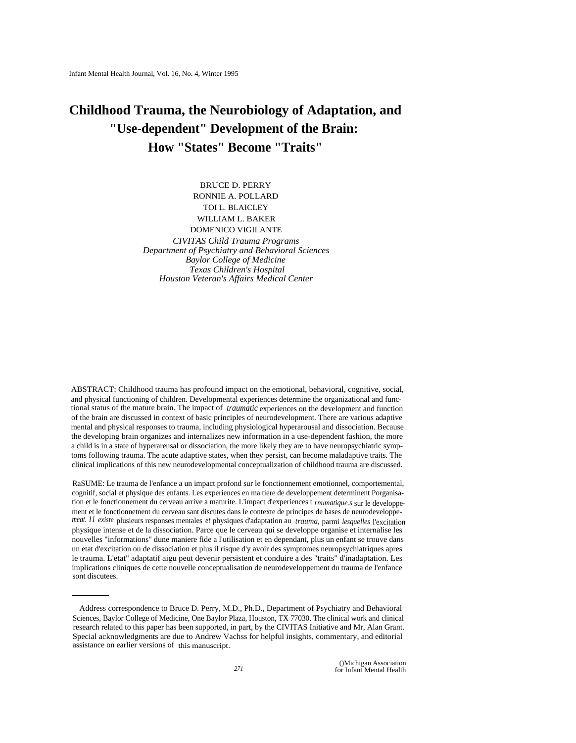# **Childhood Trauma, the Neurobiology of Adaptation, and "Use-dependent" Development of the Brain: How "States" Become "Traits"**

BRUCE D. PERRY RONNIE A. POLLARD TOI L. BLAICLEY WILLIAM L. BAKER DOMENICO VIGILANTE *CIVITAS Child Trauma Programs Department of Psychiatry and Behavioral Sciences Baylor College of Medicine Texas Children's Hospital Houston Veteran's Affairs Medical Center* 

ABSTRACT: Childhood trauma has profound impact on the emotional, behavioral, cognitive, social, and physical functioning of children. Developmental experiences determine the organizational and functional status of the mature brain. The impact of *traumatic* experiences on the development and function of the brain are discussed in context of basic principles of neurodevelopment. There are various adaptive mental and physical responses to trauma, including physiological hyperarousal and dissociation. Because the developing brain organizes and internalizes new information in a use-dependent fashion, the more a child is in a state of hyperareusal or dissociation, the more likely they are to have neuropsychiatric symptoms following trauma. The acute adaptive states, when they persist, can become maladaptive traits. The clinical implications of this new neurodevelopmental conceptualization of childhood trauma are discussed.

RaSUME: Le trauma de l'enfance a un impact profond sur le fonctionnement emotionnel, comportemental, cognitif, social et physique des enfants. Les experiences en ma tiere de developpement determinent Porganisation et le fonctionnement du cerveau arrive a maturite. L'impact d'experiences t *rnumatique.s* sur le developpement et le fonctionnetnent du cerveau sant discutes dans le contexte de principes de bases de neurodeveloppe*meat. 11 existe* plusieurs responses mentales *et* physiques d'adaptation au *trauma,* parmi *lesquelles* l'excitation physique intense et de la dissociation. Parce que le cerveau qui se developpe organise et internalise les nouvelles "informations" dune maniere fide a l'utilisation et en dependant, plus un enfant se trouve dans un etat d'excitation ou de dissociation et plus il risque d'y avoir des symptomes neuropsychiatriques apres le trauma. L'etat" adaptatif aigu peut devenir persistent et conduire a des "traits" d'inadaptation. Les implications cliniques de cette nouvelle conceptualisation de neurodeveloppement du trauma de l'enfance sont discutees.

Address correspondence to Bruce D. Perry, M.D., Ph.D., Department of Psychiatry and Behavioral Sciences, Baylor College of Medicine, One Baylor Plaza, Houston, TX 77030. The clinical work and clinical research related to this paper has been supported, in part, by the CIVITAS Initiative and Mr, Alan Grant. Special acknowledgments are due to Andrew Vachss for helpful insights, commentary, and editorial assistance on earlier versions of this manuscript.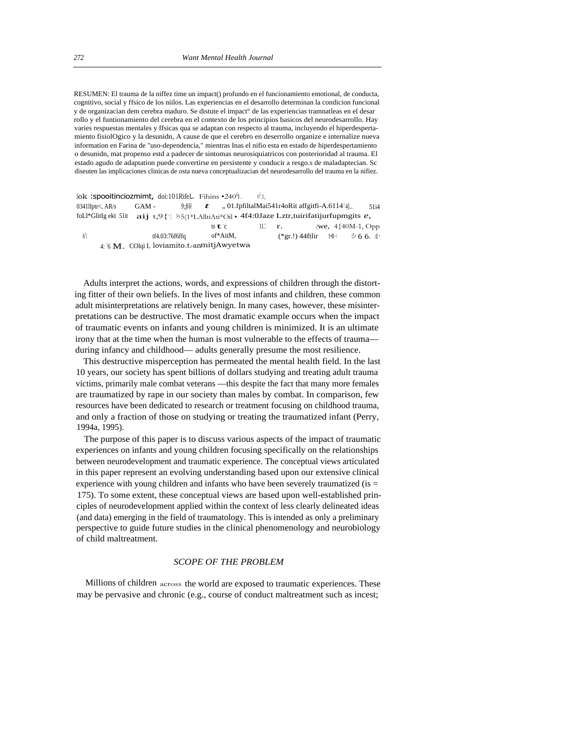RESUMEN: El trauma de la niffez time un impact() profundo en el funcionamiento emotional, de conducta, cognitivo, social y ffsico de los niilos. Las experiencias en el desarrollo determinan la condicion funcional y de organizacian dem cerebra maduro. Se distute el impact° de las experiencias tramnatleas en el desar rollo y el funtionamiento del cerebra en el contexto de los principios basicos del neurodesarrollo. Hay varies respuestas mentales y ffsicas qua se adaptan con respecto al trauma, incluyendo el hiperdespertamiento fisiolOgico y la desunidn, A cause de que el cerebro en deserrollo organize e internalize nueva information en Farina de "uso-dependencia," mientras Inas el nifio esta en estado de hiperdespertamiento o desunidn, mat propenso estd a padecer de sintomas neurosiquiatricos con posterioridad al trauma. El estado agudo de adaptation puede convertirse en persistente y conducir a resgo.s de maladaptecian. Sc diseuten las implicaciones clinicas de osta nueva conceptualizacian del neurodesarrollo del trauma en la nifiez.

 $\rm \, lok$  :spooitinciozmimt, doi:101RifeL. Fihins •240 $\rm \ell$ .  $\rm \ell^1$ 1 .1, 0341IIptr<, AR/s GAM - 9;fili t ,, 01.fpfiltalMai541r4oRit affgitfi-A.6114<sup>1</sup>4|... 51i4 foLl\*GlitIg ekt 5lit **aij** t,9 { | | | ii.5(1\*LAlltiAti\*Oil • 4f4:0Jaze Lztr,tuirifatijurfupmgits *e*, Ati<sup>\*</sup><sup>(</sup><br>ts **t** 11.'.  $r.$  (we,  $4\{40M-1, Opp$ )  $6^{1}1$ tf4.03:76f6ffq of\*AitM,  $(*gr.!)$  44ftlir  $\mathcal{H} \times \mathbb{S}$ = 6 6.  $\mathcal{H}$ , 4: <sup>1</sup>6 M. COlqi L loviamito.t.-anmitjAwyetwa

Adults interpret the actions, words, and expressions of children through the distorting fitter of their own beliefs. In the lives of most infants and children, these common adult misinterpretations are relatively benign. In many cases, however, these misinterpretations can be destructive. The most dramatic example occurs when the impact of traumatic events on infants and young children is minimized. It is an ultimate irony that at the time when the human is most vulnerable to the effects of trauma during infancy and childhood— adults generally presume the most resilience.

This destructive misperception has permeated the mental health field. In the last 10 years, our society has spent billions of dollars studying and treating adult trauma victims, primarily male combat veterans —this despite the fact that many more females are traumatized by rape in our society than males by combat. In comparison, few resources have been dedicated to research or treatment focusing on childhood trauma, and only a fraction of those on studying or treating the traumatized infant (Perry, 1994a, 1995).

The purpose of this paper is to discuss various aspects of the impact of traumatic experiences on infants and young children focusing specifically on the relationships between neurodevelopment and traumatic experience. The conceptual views articulated in this paper represent an evolving understanding based upon our extensive clinical experience with young children and infants who have been severely traumatized (is = 175). To some extent, these conceptual views are based upon well-established principles of neurodevelopment applied within the context of less clearly delineated ideas (and data) emerging in the field of traumatology. This is intended as only a preliminary perspective to guide future studies in the clinical phenomenology and neurobiology of child maltreatment.

# *SCOPE OF THE PROBLEM*

Millions of children across the world are exposed to traumatic experiences. These may be pervasive and chronic (e.g., course of conduct maltreatment such as incest;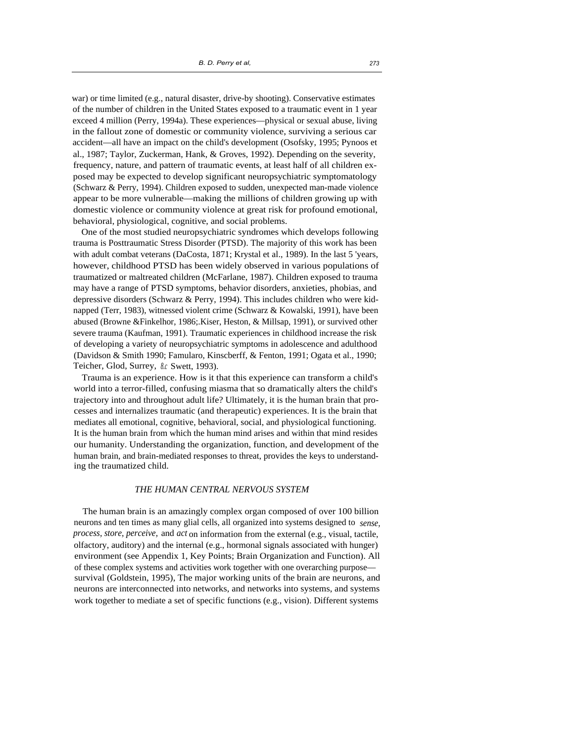war) or time limited (e.g., natural disaster, drive-by shooting). Conservative estimates of the number of children in the United States exposed to a traumatic event in 1 year exceed 4 million (Perry, 1994a). These experiences—physical or sexual abuse, living in the fallout zone of domestic or community violence, surviving a serious car accident—all have an impact on the child's development (Osofsky, 1995; Pynoos et al., 1987; Taylor, Zuckerman, Hank, & Groves, 1992). Depending on the severity, frequency, nature, and pattern of traumatic events, at least half of all children exposed may be expected to develop significant neuropsychiatric symptomatology (Schwarz & Perry, 1994). Children exposed to sudden, unexpected man-made violence appear to be more vulnerable—making the millions of children growing up with domestic violence or community violence at great risk for profound emotional, behavioral, physiological, cognitive, and social problems.

One of the most studied neuropsychiatric syndromes which develops following trauma is Posttraumatic Stress Disorder (PTSD). The majority of this work has been with adult combat veterans (DaCosta, 1871; Krystal et al., 1989). In the last 5 'years, however, childhood PTSD has been widely observed in various populations of traumatized or maltreated children (McFarlane, 1987). Children exposed to trauma may have a range of PTSD symptoms, behavior disorders, anxieties, phobias, and depressive disorders (Schwarz & Perry, 1994). This includes children who were kidnapped (Terr, 1983), witnessed violent crime (Schwarz & Kowalski, 1991), have been abused (Browne &Finkelhor, 1986;.Kiser, Heston, & Millsap, 1991), or survived other severe trauma (Kaufman, 1991). Traumatic experiences in childhood increase the risk of developing a variety of neuropsychiatric symptoms in adolescence and adulthood (Davidson & Smith 1990; Famularo, Kinscberff, & Fenton, 1991; Ogata et al., 1990; Teicher, Glod, Surrey, *8.c* Swett, 1993).

Trauma is an experience. How is it that this experience can transform a child's world into a terror-filled, confusing miasma that so dramatically alters the child's trajectory into and throughout adult life? Ultimately, it is the human brain that processes and internalizes traumatic (and therapeutic) experiences. It is the brain that mediates all emotional, cognitive, behavioral, social, and physiological functioning. It is the human brain from which the human mind arises and within that mind resides our humanity. Understanding the organization, function, and development of the human brain, and brain-mediated responses to threat, provides the keys to understanding the traumatized child.

## *THE HUMAN CENTRAL NERVOUS SYSTEM*

The human brain is an amazingly complex organ composed of over 100 billion neurons and ten times as many glial cells, all organized into systems designed to *sense, process, store, perceive,* and *act* on information from the external (e.g., visual, tactile, olfactory, auditory) and the internal (e.g., hormonal signals associated with hunger) environment (see Appendix 1, Key Points; Brain Organization and Function). All of these complex systems and activities work together with one overarching purpose survival (Goldstein, 1995), The major working units of the brain are neurons, and neurons are interconnected into networks, and networks into systems, and systems work together to mediate a set of specific functions (e.g., vision). Different systems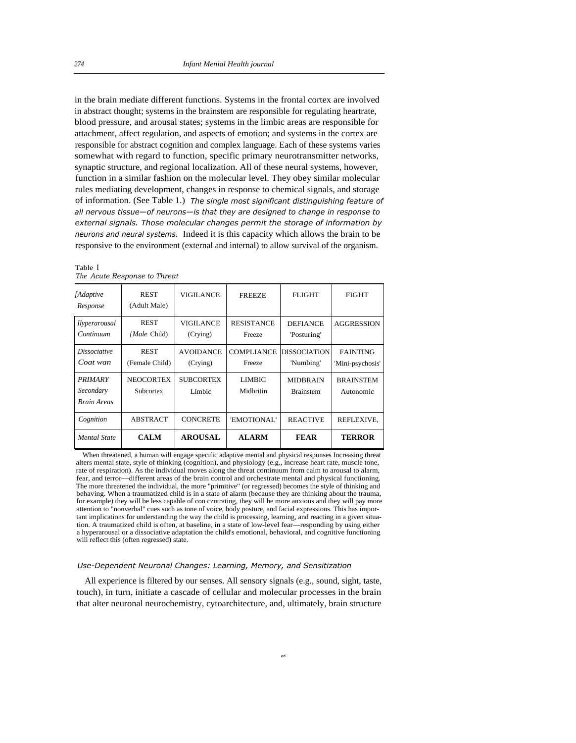in the brain mediate different functions. Systems in the frontal cortex are involved in abstract thought; systems in the brainstem are responsible for regulating heartrate, blood pressure, and arousal states; systems in the limbic areas are responsible for attachment, affect regulation, and aspects of emotion; and systems in the cortex are responsible for abstract cognition and complex language. Each of these systems varies somewhat with regard to function, specific primary neurotransmitter networks, synaptic structure, and regional localization. All of these neural systems, however, function in a similar fashion on the molecular level. They obey similar molecular rules mediating development, changes in response to chemical signals, and storage of information. (See Table 1.) *The single most significant distinguishing feature of all nervous tissue—of neurons—is that they are designed to change in response to external signals. Those molecular changes permit the storage of information by neurons and neural systems.* Indeed it is this capacity which allows the brain to be responsive to the environment (external and internal) to allow survival of the organism.

| Table I                      |  |
|------------------------------|--|
| The Acute Response to Threat |  |

| <b>Mental State</b>                                      | <b>CALM</b>                         | <b>AROUSAL</b>               | <b>ALARM</b>                | <b>FEAR</b>                         | <b>TERROR</b>                       |
|----------------------------------------------------------|-------------------------------------|------------------------------|-----------------------------|-------------------------------------|-------------------------------------|
| Cognition                                                | <b>ABSTRACT</b>                     | <b>CONCRETE</b>              | 'EMOTIONAL'                 | <b>REACTIVE</b>                     | REFLEXIVE.                          |
| <i><b>PRIMARY</b></i><br>Secondary<br><b>Brain Areas</b> | <b>NEOCORTEX</b><br>Subcortex       | <b>SUBCORTEX</b><br>Limbic   | <b>LIMBIC</b><br>Midbritin  | <b>MIDBRAIN</b><br><b>Brainstem</b> | <b>BRAINSTEM</b><br>Autonomic       |
| <i>Dissociative</i><br>Coat wan                          | <b>REST</b><br>(Female Child)       | <b>AVOIDANCE</b><br>(Crying) | <b>COMPLIANCE</b><br>Freeze | <b>DISSOCIATION</b><br>'Numbing'    | <b>FAINTING</b><br>'Mini-psychosis' |
| <i>Ilyperarousal</i><br>Continuum                        | <b>REST</b><br>( <i>Male</i> Child) | VIGIL ANCE<br>(Crying)       | <b>RESISTANCE</b><br>Freeze | <b>DEFIANCE</b><br>'Posturing'      | <b>AGGRESSION</b>                   |
| <i>[Adaptive</i><br>Response                             | <b>REST</b><br>(Adult Male)         | <b>VIGILANCE</b>             | <b>FREEZE</b>               | <b>FLIGHT</b>                       | <b>FIGHT</b>                        |

When threatened, a human will engage specific adaptive mental and physical responses Increasing threat alters mental state, style of thinking (cognition), and physiology (e.g., increase heart rate, muscle tone, rate of respiration). As the individual moves along the threat continuum from calm to arousal to alarm, fear, and terror—different areas of the brain control and orchestrate mental and physical functioning. The more threatened the individual, the more "primitive" (or regressed) becomes the style of thinking and behaving. When a traumatized child is in a state of alarm (because they are thinking about the trauma, for example) they will be less capable of con czntrating, they will he more anxious and they will pay more attention to "nonverbal" cues such as tone of voice, body posture, and facial expressions. This has important implications for understanding the way the child is processing, learning, and reacting in a given situation. A traumatized child is often, at baseline, in a state of low-level fear—responding by using either a hyperarousal or a dissociative adaptation the child's emotional, behavioral, and cognitive functioning will reflect this (often regressed) state.

#### *Use-Dependent Neuronal Changes: Learning, Memory, and Sensitization*

All experience is filtered by our senses. All sensory signals (e.g., sound, sight, taste, touch), in turn, initiate a cascade of cellular and molecular processes in the brain that alter neuronal neurochemistry, cytoarchitecture, and, ultimately, brain structure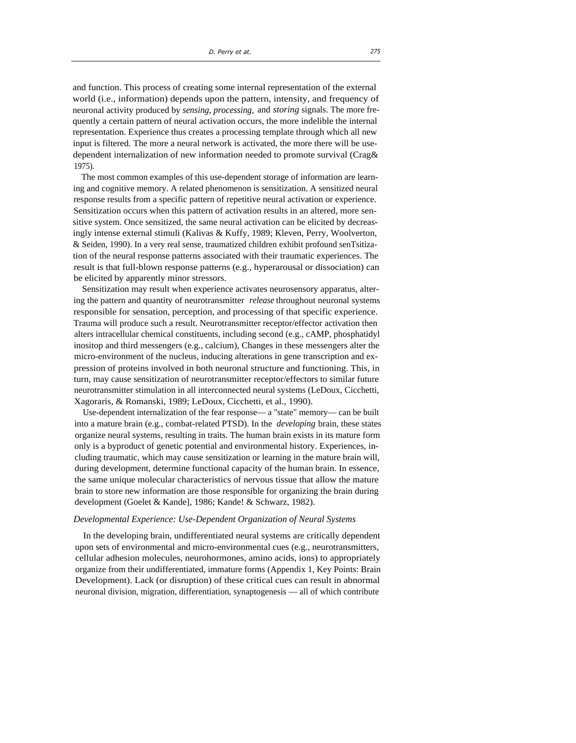and function. This process of creating some internal representation of the external world (i.e., information) depends upon the pattern, intensity, and frequency of neuronal activity produced by *sensing, processing,* and *storing* signals. The more frequently a certain pattern of neural activation occurs, the more indelible the internal representation. Experience thus creates a processing template through which all new input is filtered. The more a neural network is activated, the more there will be usedependent internalization of new information needed to promote survival (Crag& 1975).

The most common examples of this use-dependent storage of information are learning and cognitive memory. A related phenomenon is sensitization. A sensitized neural response results from a specific pattern of repetitive neural activation or experience. Sensitization occurs when this pattern of activation results in an altered, more sensitive system. Once sensitized, the same neural activation can be elicited by decreasingly intense external stimuli (Kalivas & Kuffy, 1989; Kleven, Perry, Woolverton, & Seiden, 1990). In a very real sense, traumatized children exhibit profound senTsitization of the neural response patterns associated with their traumatic experiences. The result is that full-blown response patterns (e.g., hyperarousal or dissociation) can be elicited by apparently minor stressors.

Sensitization may result when experience activates neurosensory apparatus, altering the pattern and quantity of neurotransmitter *release* throughout neuronal systems responsible for sensation, perception, and processing of that specific experience. Trauma will produce such a result. Neurotransmitter receptor/effector activation then alters intracellular chemical constituents, including second (e.g., cAMP, phosphatidyl inositop and third messengers (e.g., calcium), Changes in these messengers alter the micro-environment of the nucleus, inducing alterations in gene transcription and expression of proteins involved in both neuronal structure and functioning. This, in turn, may cause sensitization of neurotransmitter receptor/effectors to similar future neurotransmitter stimulation in all interconnected neural systems (LeDoux, Cicchetti, Xagoraris, & Romanski, 1989; LeDoux, Cicchetti, et al., 1990).

Use-dependent internalization of the fear response— a "state" memory— can be built into a mature brain (e.g., combat-related PTSD). In the *developing* brain, these states organize neural systems, resulting in traits. The human brain exists in its mature form only is a byproduct of genetic potential and environmental history. Experiences, including traumatic, which may cause sensitization or learning in the mature brain will, during development, determine functional capacity of the human brain. In essence, the same unique molecular characteristics of nervous tissue that allow the mature brain to store new information are those responsible for organizing the brain during development (Goelet & Kande], 1986; Kande! & Schwarz, 1982).

#### *Developmental Experience: Use-Dependent Organization of Neural Systems*

In the developing brain, undifferentiated neural systems are critically dependent upon sets of environmental and micro-environmental cues (e.g., neurotransmitters, cellular adhesion molecules, neurohormones, amino acids, ions) to appropriately organize from their undifferentiated, immature forms (Appendix 1, Key Points: Brain Development). Lack (or disruption) of these critical cues can result in abnormal neuronal division, migration, differentiation, synaptogenesis — all of which contribute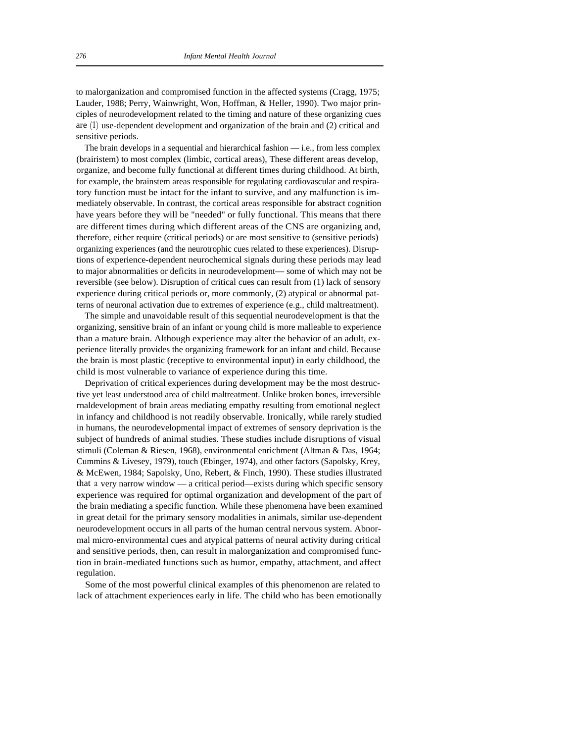to malorganization and compromised function in the affected systems (Cragg, 1975; Lauder, 1988; Perry, Wainwright, Won, Hoffman, & Heller, 1990). Two major principles of neurodevelopment related to the timing and nature of these organizing cues are (1) use-dependent development and organization of the brain and (2) critical and sensitive periods.

The brain develops in a sequential and hierarchical fashion  $-$  i.e., from less complex (brairistem) to most complex (limbic, cortical areas), These different areas develop, organize, and become fully functional at different times during childhood. At birth, for example, the brainstem areas responsible for regulating cardiovascular and respiratory function must be intact for the infant to survive, and any malfunction is immediately observable. In contrast, the cortical areas responsible for abstract cognition have years before they will be "needed" or fully functional. This means that there are different times during which different areas of the CNS are organizing and, therefore, either require (critical periods) or are most sensitive to (sensitive periods) organizing experiences (and the neurotrophic cues related to these experiences). Disruptions of experience-dependent neurochemical signals during these periods may lead to major abnormalities or deficits in neurodevelopment— some of which may not be reversible (see below). Disruption of critical cues can result from (1) lack of sensory experience during critical periods or, more commonly, (2) atypical or abnormal patterns of neuronal activation due to extremes of experience (e.g., child maltreatment).

The simple and unavoidable result of this sequential neurodevelopment is that the organizing, sensitive brain of an infant or young child is more malleable to experience than a mature brain. Although experience may alter the behavior of an adult, experience literally provides the organizing framework for an infant and child. Because the brain is most plastic (receptive to environmental input) in early childhood, the child is most vulnerable to variance of experience during this time.

Deprivation of critical experiences during development may be the most destructive yet least understood area of child maltreatment. Unlike broken bones, irreversible rnaldevelopment of brain areas mediating empathy resulting from emotional neglect in infancy and childhood is not readily observable. Ironically, while rarely studied in humans, the neurodevelopmental impact of extremes of sensory deprivation is the subject of hundreds of animal studies. These studies include disruptions of visual stimuli (Coleman & Riesen, 1968), environmental enrichment (Altman & Das, 1964; Cummins & Livesey, 1979), touch (Ebinger, 1974), and other factors (Sapolsky, Krey, & McEwen, 1984; Sapolsky, Uno, Rebert, & Finch, 1990). These studies illustrated that a very narrow window — a critical period—exists during which specific sensory experience was required for optimal organization and development of the part of the brain mediating a specific function. While these phenomena have been examined in great detail for the primary sensory modalities in animals, similar use-dependent neurodevelopment occurs in all parts of the human central nervous system. Abnormal micro-environmental cues and atypical patterns of neural activity during critical and sensitive periods, then, can result in malorganization and compromised function in brain-mediated functions such as humor, empathy, attachment, and affect regulation.

Some of the most powerful clinical examples of this phenomenon are related to lack of attachment experiences early in life. The child who has been emotionally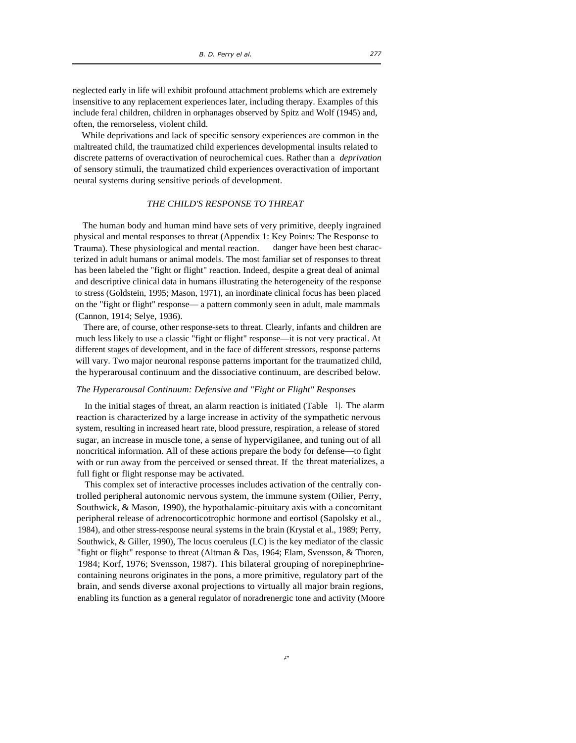neglected early in life will exhibit profound attachment problems which are extremely insensitive to any replacement experiences later, including therapy. Examples of this include feral children, children in orphanages observed by Spitz and Wolf (1945) and, often, the remorseless, violent child.

While deprivations and lack of specific sensory experiences are common in the maltreated child, the traumatized child experiences developmental insults related to discrete patterns of overactivation of neurochemical cues. Rather than a *deprivation*  of sensory stimuli, the traumatized child experiences overactivation of important neural systems during sensitive periods of development.

# *THE CHILD'S RESPONSE TO THREAT*

The human body and human mind have sets of very primitive, deeply ingrained physical and mental responses to threat (Appendix 1: Key Points: The Response to Trauma). These physiological and mental reaction. danger have been best characterized in adult humans or animal models. The most familiar set of responses to threat has been labeled the "fight or flight" reaction. Indeed, despite a great deal of animal and descriptive clinical data in humans illustrating the heterogeneity of the response to stress (Goldstein, 1995; Mason, 1971), an inordinate clinical focus has been placed on the "fight or flight" response— a pattern commonly seen in adult, male mammals (Cannon, 1914; Selye, 1936).

There are, of course, other response-sets to threat. Clearly, infants and children are much less likely to use a classic "fight or flight" response—it is not very practical. At different stages of development, and in the face of different stressors, response patterns will vary. Two major neuronal response patterns important for the traumatized child, the hyperarousal continuum and the dissociative continuum, are described below.

#### *The Hyperarousal Continuum: Defensive and "Fight or Flight" Responses*

In the initial stages of threat, an alarm reaction is initiated (Table 1). The alarm reaction is characterized by a large increase in activity of the sympathetic nervous system, resulting in increased heart rate, blood pressure, respiration, a release of stored sugar, an increase in muscle tone, a sense of hypervigilanee, and tuning out of all noncritical information. All of these actions prepare the body for defense—to fight with or run away from the perceived or sensed threat. If the threat materializes, a full fight or flight response may be activated.

This complex set of interactive processes includes activation of the centrally controlled peripheral autonomic nervous system, the immune system (Oilier, Perry, Southwick, & Mason, 1990), the hypothalamic-pituitary axis with a concomitant peripheral release of adrenocorticotrophic hormone and eortisol (Sapolsky et al., 1984), and other stress-response neural systems in the brain (Krystal et al., 1989; Perry, Southwick, & Giller, 1990), The locus coeruleus (LC) is the key mediator of the classic "fight or flight" response to threat (Altman & Das, 1964; Elam, Svensson, & Thoren, 1984; Korf, 1976; Svensson, 1987). This bilateral grouping of norepinephrinecontaining neurons originates in the pons, a more primitive, regulatory part of the brain, and sends diverse axonal projections to virtually all major brain regions, enabling its function as a general regulator of noradrenergic tone and activity (Moore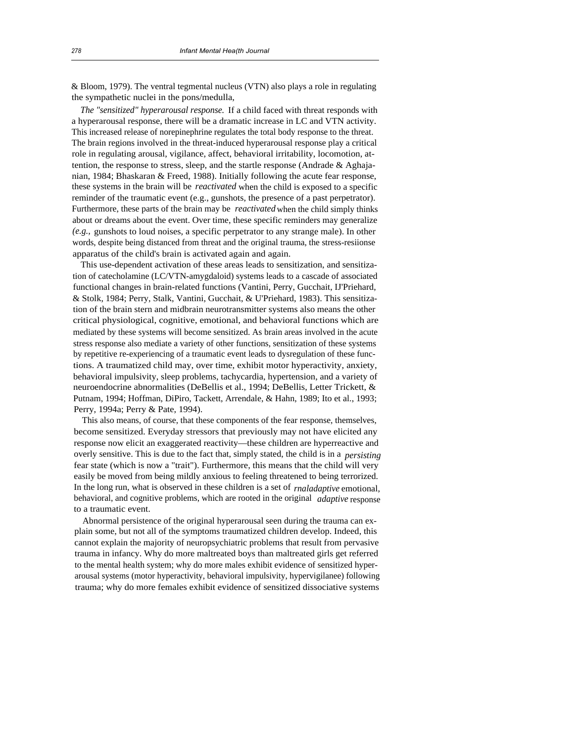& Bloom, 1979). The ventral tegmental nucleus (VTN) also plays a role in regulating the sympathetic nuclei in the pons/medulla,

*The "sensitized" hyperarousal response.* If a child faced with threat responds with a hyperarousal response, there will be a dramatic increase in LC and VTN activity. This increased release of norepinephrine regulates the total body response to the threat. The brain regions involved in the threat-induced hyperarousal response play a critical role in regulating arousal, vigilance, affect, behavioral irritability, locomotion, attention, the response to stress, sleep, and the startle response (Andrade & Aghajanian, 1984; Bhaskaran & Freed, 1988). Initially following the acute fear response, these systems in the brain will be *reactivated* when the child is exposed to a specific reminder of the traumatic event (e.g., gunshots, the presence of a past perpetrator). Furthermore, these parts of the brain may be *reactivated* when the child simply thinks about or dreams about the event. Over time, these specific reminders may generalize *(e.g.,* gunshots to loud noises, a specific perpetrator to any strange male). In other words, despite being distanced from threat and the original trauma, the stress-resiionse apparatus of the child's brain is activated again and again.

This use-dependent activation of these areas leads to sensitization, and sensitization of catecholamine (LC/VTN-amygdaloid) systems leads to a cascade of associated functional changes in brain-related functions (Vantini, Perry, Gucchait, IJ'Priehard, & Stolk, 1984; Perry, Stalk, Vantini, Gucchait, & U'Priehard, 1983). This sensitization of the brain stern and midbrain neurotransmitter systems also means the other critical physiological, cognitive, emotional, and behavioral functions which are mediated by these systems will become sensitized. As brain areas involved in the acute stress response also mediate a variety of other functions, sensitization of these systems by repetitive re-experiencing of a traumatic event leads to dysregulation of these functions. A traumatized child may, over time, exhibit motor hyperactivity, anxiety, behavioral impulsivity, sleep problems, tachycardia, hypertension, and a variety of neuroendocrine abnormalities (DeBellis et al., 1994; DeBellis, Letter Trickett, & Putnam, 1994; Hoffman, DiPiro, Tackett, Arrendale, & Hahn, 1989; Ito et al., 1993; Perry, 1994a; Perry & Pate, 1994).

This also means, of course, that these components of the fear response, themselves, become sensitized. Everyday stressors that previously may not have elicited any response now elicit an exaggerated reactivity—these children are hyperreactive and overly sensitive. This is due to the fact that, simply stated, the child is in a *persisting*  fear state (which is now a "trait"). Furthermore, this means that the child will very easily be moved from being mildly anxious to feeling threatened to being terrorized. In the long run, what is observed in these children is a set of *rnaladaptive* emotional, behavioral, and cognitive problems, which are rooted in the original *adaptive* response to a traumatic event.

Abnormal persistence of the original hyperarousal seen during the trauma can explain some, but not all of the symptoms traumatized children develop. Indeed, this cannot explain the majority of neuropsychiatric problems that result from pervasive trauma in infancy. Why do more maltreated boys than maltreated girls get referred to the mental health system; why do more males exhibit evidence of sensitized hyperarousal systems (motor hyperactivity, behavioral impulsivity, hypervigilanee) following trauma; why do more females exhibit evidence of sensitized dissociative systems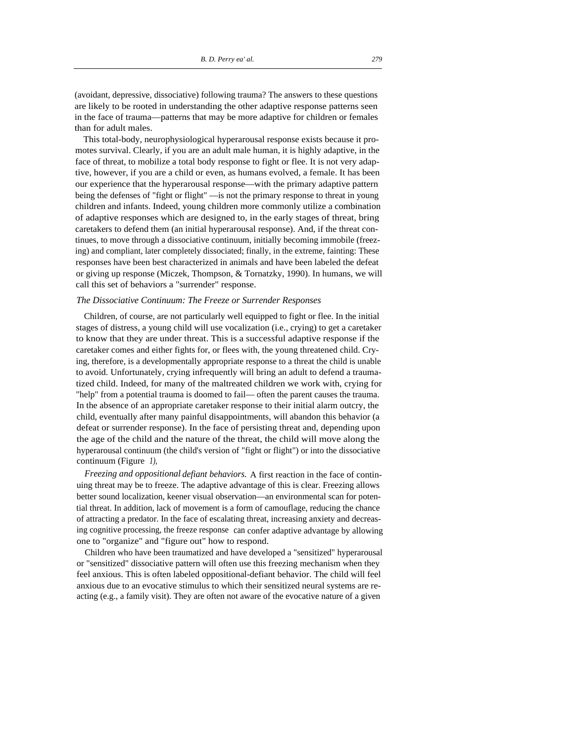(avoidant, depressive, dissociative) following trauma? The answers to these questions are likely to be rooted in understanding the other adaptive response patterns seen in the face of trauma—patterns that may be more adaptive for children or females than for adult males.

This total-body, neurophysiological hyperarousal response exists because it promotes survival. Clearly, if you are an adult male human, it is highly adaptive, in the face of threat, to mobilize a total body response to fight or flee. It is not very adaptive, however, if you are a child or even, as humans evolved, a female. It has been our experience that the hyperarousal response—with the primary adaptive pattern being the defenses of "fight or flight" —is not the primary response to threat in young children and infants. Indeed, young children more commonly utilize a combination of adaptive responses which are designed to, in the early stages of threat, bring caretakers to defend them (an initial hyperarousal response). And, if the threat continues, to move through a dissociative continuum, initially becoming immobile (freezing) and compliant, later completely dissociated; finally, in the extreme, fainting: These responses have been best characterized in animals and have been labeled the defeat or giving up response (Miczek, Thompson, & Tornatzky, 1990). In humans, we will call this set of behaviors a "surrender" response.

#### *The Dissociative Continuum: The Freeze or Surrender Responses*

Children, of course, are not particularly well equipped to fight or flee. In the initial stages of distress, a young child will use vocalization (i.e., crying) to get a caretaker to know that they are under threat. This is a successful adaptive response if the caretaker comes and either fights for, or flees with, the young threatened child. Crying, therefore, is a developmentally appropriate response to a threat the child is unable to avoid. Unfortunately, crying infrequently will bring an adult to defend a traumatized child. Indeed, for many of the maltreated children we work with, crying for "help" from a potential trauma is doomed to fail— often the parent causes the trauma. In the absence of an appropriate caretaker response to their initial alarm outcry, the child, eventually after many painful disappointments, will abandon this behavior (a defeat or surrender response). In the face of persisting threat and, depending upon the age of the child and the nature of the threat, the child will move along the hyperarousal continuum (the child's version of "fight or flight") or into the dissociative continuum (Figure *1),* 

*Freezing and oppositional-defiant behaviors.* A first reaction in the face of continuing threat may be to freeze. The adaptive advantage of this is clear. Freezing allows better sound localization, keener visual observation—an environmental scan for potential threat. In addition, lack of movement is a form of camouflage, reducing the chance of attracting a predator. In the face of escalating threat, increasing anxiety and decreasing cognitive processing, the freeze response can confer adaptive advantage by allowing one to "organize" and "figure out" how to respond.

Children who have been traumatized and have developed a "sensitized" hyperarousal or "sensitized" dissociative pattern will often use this freezing mechanism when they feel anxious. This is often labeled oppositional-defiant behavior. The child will feel anxious due to an evocative stimulus to which their sensitized neural systems are reacting (e.g., a family visit). They are often not aware of the evocative nature of a given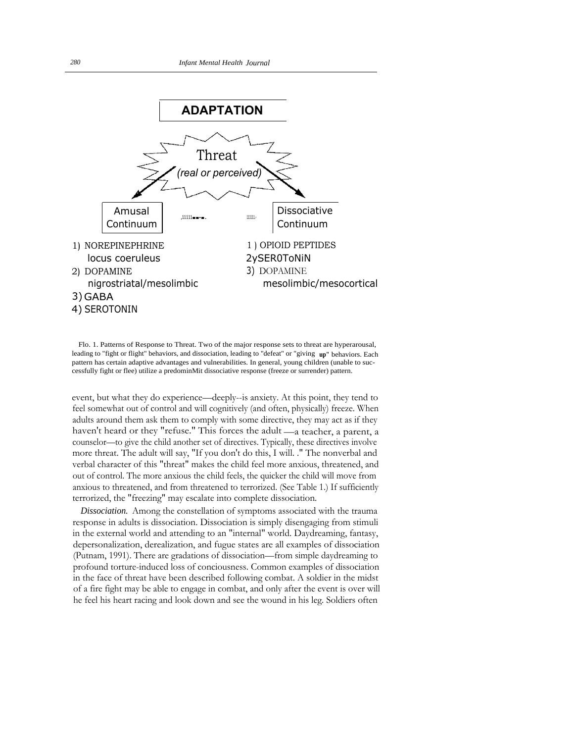

Flo. 1. Patterns of Response to Threat. Two of the major response sets to threat are hyperarousal, leading to "fight or flight" behaviors, and dissociation, leading to "defeat" or "giving **up"** behaviors. Each pattern has certain adaptive advantages and vulnerabilities. In general, young children (unable to successfully fight or flee) utilize a predominMit dissociative response (freeze or surrender) pattern.

event, but what they do experience—deeply--is anxiety. At this point, they tend to feel somewhat out of control and will cognitively (and often, physically) freeze. When adults around them ask them to comply with some directive, they may act as if they haven't heard or they "refuse." This forces the adult —a teacher, a parent, a counselor—to give the child another set of directives. Typically, these directives involve more threat. The adult will say, "If you don't do this, I will. ." The nonverbal and verbal character of this "threat" makes the child feel more anxious, threatened, and out of control. The more anxious the child feels, the quicker the child will move from anxious to threatened, and from threatened to terrorized. (See Table 1.) If sufficiently terrorized, the "freezing" may escalate into complete dissociation.

*Dissociation.* Among the constellation of symptoms associated with the trauma response in adults is dissociation. Dissociation is simply disengaging from stimuli in the external world and attending to an "internal" world. Daydreaming, fantasy, depersonalization, derealization, and fugue states are all examples of dissociation (Putnam, 1991). There are gradations of dissociation—from simple daydreaming to profound torture-induced loss of conciousness. Common examples of dissociation in the face of threat have been described following combat. A soldier in the midst of a fire fight may be able to engage in combat, and only after the event is over will he feel his heart racing and look down and see the wound in his leg. Soldiers often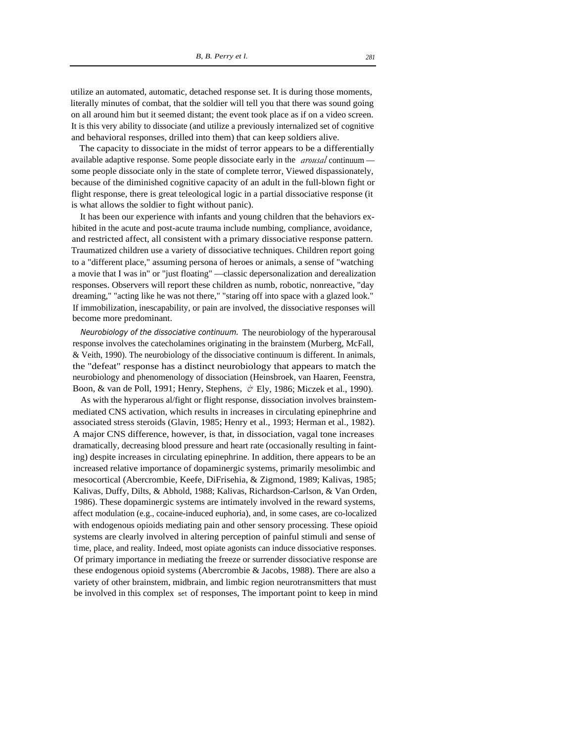utilize an automated, automatic, detached response set. It is during those moments, literally minutes of combat, that the soldier will tell you that there was sound going on all around him but it seemed distant; the event took place as if on a video screen. It is this very ability to dissociate (and utilize a previously internalized set of cognitive and behavioral responses, drilled into them) that can keep soldiers alive.

The capacity to dissociate in the midst of terror appears to be a differentially available adaptive response. Some people dissociate early in the *arousal* continuum some people dissociate only in the state of complete terror, Viewed dispassionately, because of the diminished cognitive capacity of an adult in the full-blown fight or flight response, there is great teleological logic in a partial dissociative response (it is what allows the soldier to fight without panic).

It has been our experience with infants and young children that the behaviors exhibited in the acute and post-acute trauma include numbing, compliance, avoidance, and restricted affect, all consistent with a primary dissociative response pattern. Traumatized children use a variety of dissociative techniques. Children report going to a "different place," assuming persona of heroes or animals, a sense of "watching a movie that I was in" or "just floating" —classic depersonalization and derealization responses. Observers will report these children as numb, robotic, nonreactive, "day dreaming," "acting like he was not there," "staring off into space with a glazed look." If immobilization, inescapability, or pain are involved, the dissociative responses will become more predominant.

*Neurobiology of the dissociative continuum.* The neurobiology of the hyperarousal response involves the catecholamines originating in the brainstem (Murberg, McFall, & Veith, 1990). The neurobiology of the dissociative continuum is different. In animals, the "defeat" response has a distinct neurobiology that appears to match the neurobiology and phenomenology of dissociation (Heinsbroek, van Haaren, Feenstra, Boon, & van de Poll, 1991; Henry, Stephens, *&* Ely, 1986; Miczek et al., 1990).

As with the hyperarous al/fight or flight response, dissociation involves brainstemmediated CNS activation, which results in increases in circulating epinephrine and associated stress steroids (Glavin, 1985; Henry et al., 1993; Herman et al., 1982). A major CNS difference, however, is that, in dissociation, vagal tone increases dramatically, decreasing blood pressure and heart rate (occasionally resulting in fainting) despite increases in circulating epinephrine. In addition, there appears to be an increased relative importance of dopaminergic systems, primarily mesolimbic and mesocortical (Abercrombie, Keefe, DiFrisehia, & Zigmond, 1989; Kalivas, 1985; Kalivas, Duffy, Dilts, & Abhold, 1988; Kalivas, Richardson-Carlson, & Van Orden, 1986). These dopaminergic systems are intimately involved in the reward systems, affect modulation (e.g., cocaine-induced euphoria), and, in some cases, are co-localized with endogenous opioids mediating pain and other sensory processing. These opioid systems are clearly involved in altering perception of painful stimuli and sense of time, place, and reality. Indeed, most opiate agonists can induce dissociative responses. Of primary importance in mediating the freeze or surrender dissociative response are these endogenous opioid systems (Abercrombie & Jacobs, 1988). There are also a variety of other brainstem, midbrain, and limbic region neurotransmitters that must be involved in this complex set of responses, The important point to keep in mind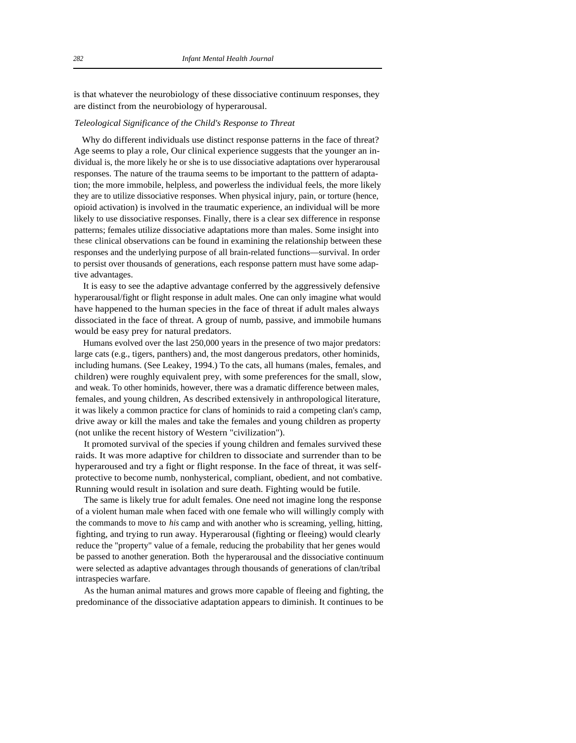is that whatever the neurobiology of these dissociative continuum responses, they are distinct from the neurobiology of hyperarousal.

### *Teleological Significance of the Child's Response to Threat*

Why do different individuals use distinct response patterns in the face of threat? Age seems to play a role, Our clinical experience suggests that the younger an individual is, the more likely he or she is to use dissociative adaptations over hyperarousal responses. The nature of the trauma seems to be important to the patttern of adaptation; the more immobile, helpless, and powerless the individual feels, the more likely they are to utilize dissociative responses. When physical injury, pain, or torture (hence, opioid activation) is involved in the traumatic experience, an individual will be more likely to use dissociative responses. Finally, there is a clear sex difference in response patterns; females utilize dissociative adaptations more than males. Some insight into these clinical observations can be found in examining the relationship between these responses and the underlying purpose of all brain-related functions—survival. In order to persist over thousands of generations, each response pattern must have some adaptive advantages.

It is easy to see the adaptive advantage conferred by the aggressively defensive hyperarousal/fight or flight response in adult males. One can only imagine what would have happened to the human species in the face of threat if adult males always dissociated in the face of threat. A group of numb, passive, and immobile humans would be easy prey for natural predators.

Humans evolved over the last 250,000 years in the presence of two major predators: large cats (e.g., tigers, panthers) and, the most dangerous predators, other hominids, including humans. (See Leakey, 1994.) To the cats, all humans (males, females, and children) were roughly equivalent prey, with some preferences for the small, slow, and weak. To other hominids, however, there was a dramatic difference between males, females, and young children, As described extensively in anthropological literature, it was likely a common practice for clans of hominids to raid a competing clan's camp, drive away or kill the males and take the females and young children as property (not unlike the recent history of Western "civilization").

It promoted survival of the species if young children and females survived these raids. It was more adaptive for children to dissociate and surrender than to be hyperaroused and try a fight or flight response. In the face of threat, it was selfprotective to become numb, nonhysterical, compliant, obedient, and not combative. Running would result in isolation and sure death. Fighting would be futile.

The same is likely true for adult females. One need not imagine long the response of a violent human male when faced with one female who will willingly comply with the commands to move to *his* camp and with another who is screaming, yelling, hitting, fighting, and trying to run away. Hyperarousal (fighting or fleeing) would clearly reduce the "property" value of a female, reducing the probability that her genes would be passed to another generation. Both the hyperarousal and the dissociative continuum were selected as adaptive advantages through thousands of generations of clan/tribal intraspecies warfare.

As the human animal matures and grows more capable of fleeing and fighting, the predominance of the dissociative adaptation appears to diminish. It continues to be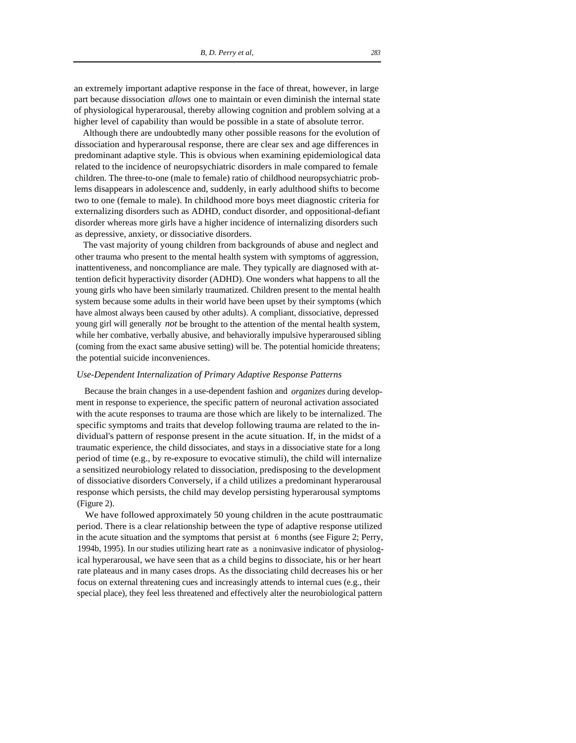an extremely important adaptive response in the face of threat, however, in large part because dissociation *allows* one to maintain or even diminish the internal state of physiological hyperarousal, thereby allowing cognition and problem solving at a higher level of capability than would be possible in a state of absolute terror.

Although there are undoubtedly many other possible reasons for the evolution of dissociation and hyperarousal response, there are clear sex and age differences in predominant adaptive style. This is obvious when examining epidemiological data related to the incidence of neuropsychiatric disorders in male compared to female children. The three-to-one (male to female) ratio of childhood neuropsychiatric problems disappears in adolescence and, suddenly, in early adulthood shifts to become two to one (female to male). In childhood more boys meet diagnostic criteria for externalizing disorders such as ADHD, conduct disorder, and oppositional-defiant disorder whereas more girls have a higher incidence of internalizing disorders such as depressive, anxiety, or dissociative disorders.

The vast majority of young children from backgrounds of abuse and neglect and other trauma who present to the mental health system with symptoms of aggression, inattentiveness, and noncompliance are male. They typically are diagnosed with attention deficit hyperactivity disorder (ADHD). One wonders what happens to all the young girls who have been similarly traumatized. Children present to the mental health system because some adults in their world have been upset by their symptoms (which have almost always been caused by other adults). A compliant, dissociative, depressed young girl will generally *not* be brought to the attention of the mental health system, while her combative, verbally abusive, and behaviorally impulsive hyperaroused sibling (coming from the exact same abusive setting) will be. The potential homicide threatens; the potential suicide inconveniences.

#### *Use-Dependent Internalization of Primary Adaptive Response Patterns*

Because the brain changes in a use-dependent fashion and *organizes* during development in response to experience, the specific pattern of neuronal activation associated with the acute responses to trauma are those which are likely to be internalized. The specific symptoms and traits that develop following trauma are related to the individual's pattern of response present in the acute situation. If, in the midst of a traumatic experience, the child dissociates, and stays in a dissociative state for a long period of time (e.g., by re-exposure to evocative stimuli), the child will internalize a sensitized neurobiology related to dissociation, predisposing to the development of dissociative disorders Conversely, if a child utilizes a predominant hyperarousal response which persists, the child may develop persisting hyperarousal symptoms (Figure 2).

We have followed approximately 50 young children in the acute posttraumatic period. There is a clear relationship between the type of adaptive response utilized in the acute situation and the symptoms that persist at 6 months (see Figure 2; Perry, 1994b, 1995). In our studies utilizing heart rate as a noninvasive indicator of physiological hyperarousal, we have seen that as a child begins to dissociate, his or her heart rate plateaus and in many cases drops. As the dissociating child decreases his or her focus on external threatening cues and increasingly attends to internal cues (e.g., their special place), they feel less threatened and effectively alter the neurobiological pattern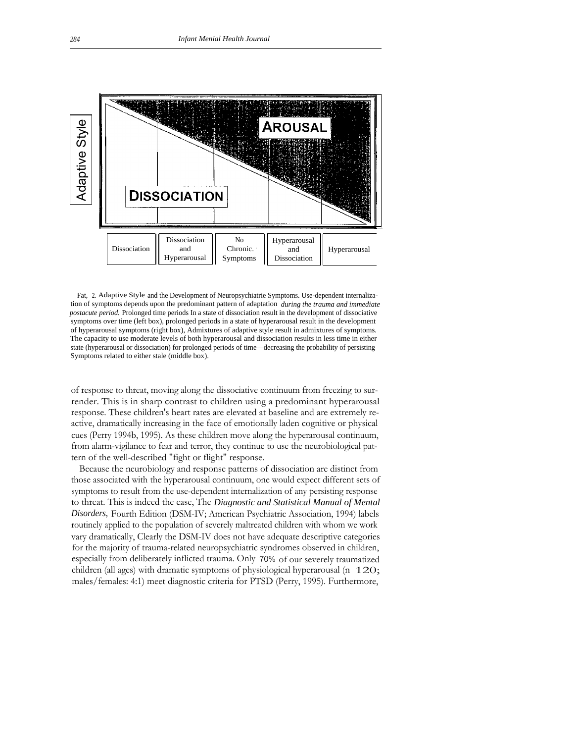

Fat, 2.Adaptive Style and the Development of Neuropsychiatrie Symptoms. Use-dependent internalization of symptoms depends upon the predominant pattern of adaptation *during the trauma and immediate postacute period.* Prolonged time periods In a state of dissociation result in the development of dissociative symptoms over time (left box), prolonged periods in a state of hyperarousal result in the development of hyperarousal symptoms (right box), Admixtures of adaptive style result in admixtures of symptoms. The capacity to use moderate levels of both hyperarousal and dissociation results in less time in either state (hyperarousal or dissociation) for prolonged periods of time—decreasing the probability of persisting Symptoms related to either stale (middle box).

of response to threat, moving along the dissociative continuum from freezing to surrender. This is in sharp contrast to children using a predominant hyperarousal response. These children's heart rates are elevated at baseline and are extremely reactive, dramatically increasing in the face of emotionally laden cognitive or physical cues (Perry 1994b, 1995). As these children move along the hyperarousal continuum, from alarm-vigilance to fear and terror, they continue to use the neurobiological pattern of the well-described "fight or flight" response.

Because the neurobiology and response patterns of dissociation are distinct from those associated with the hyperarousal continuum, one would expect different sets of symptoms to result from the use-dependent internalization of any persisting response to threat. This is indeed the ease, The *Diagnostic and Statistical Manual of Mental Disorders,* Fourth Edition (DSM-IV; American Psychiatric Association, 1994) labels routinely applied to the population of severely maltreated children with whom we work vary dramatically, Clearly the DSM-IV does not have adequate descriptive categories for the majority of trauma-related neuropsychiatric syndromes observed in children, especially from deliberately inflicted trauma. Only 70% of our severely traumatized children (all ages) with dramatic symptoms of physiological hyperarousal (n 120;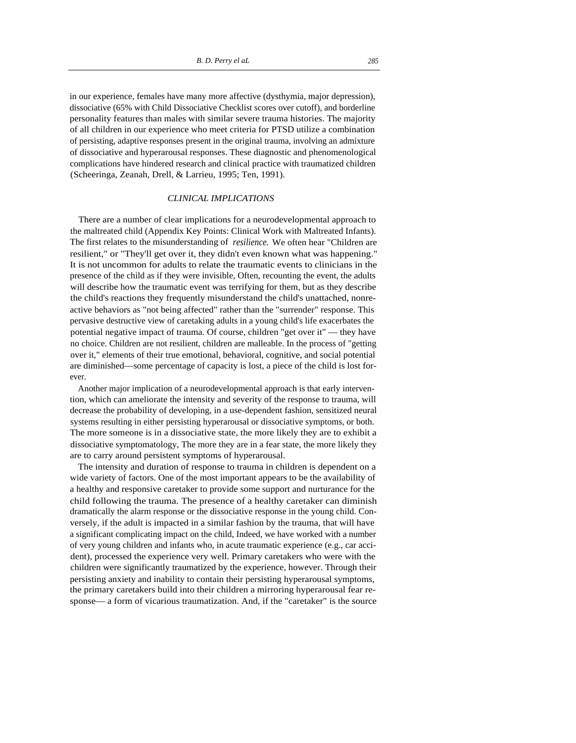in our experience, females have many more affective (dysthymia, major depression), dissociative (65% with Child Dissociative Checklist scores over cutoff), and borderline personality features than males with similar severe trauma histories. The majority of all children in our experience who meet criteria for PTSD utilize a combination of persisting, adaptive responses present in the original trauma, involving an admixture of dissociative and hyperarousal responses. These diagnostic and phenomenological complications have hindered research and clinical practice with traumatized children (Scheeringa, Zeanah, Drell, & Larrieu, 1995; Ten, 1991).

# *CLINICAL IMPLICATIONS*

There are a number of clear implications for a neurodevelopmental approach to the maltreated child (Appendix Key Points: Clinical Work with Maltreated Infants). The first relates to the misunderstanding of *resilience.* We often hear "Children are resilient," or "They'll get over it, they didn't even known what was happening." It is not uncommon for adults to relate the traumatic events to clinicians in the presence of the child as if they were invisible, Often, recounting the event, the adults will describe how the traumatic event was terrifying for them, but as they describe the child's reactions they frequently misunderstand the child's unattached, nonreactive behaviors as "not being affected" rather than the "surrender" response. This pervasive destructive view of caretaking adults in a young child's life exacerbates the potential negative impact of trauma. Of course, children "get over it" — they have no choice. Children are not resilient, children are malleable. In the process of "getting over it," elements of their true emotional, behavioral, cognitive, and social potential are diminished—some percentage of capacity is lost, a piece of the child is lost forever.

Another major implication of a neurodevelopmental approach is that early intervention, which can ameliorate the intensity and severity of the response to trauma, will decrease the probability of developing, in a use-dependent fashion, sensitized neural systems resulting in either persisting hyperarousal or dissociative symptoms, or both. The more someone is in a dissociative state, the more likely they are to exhibit a dissociative symptomatology, The more they are in a fear state, the more likely they are to carry around persistent symptoms of hyperarousal.

The intensity and duration of response to trauma in children is dependent on a wide variety of factors. One of the most important appears to be the availability of a healthy and responsive caretaker to provide some support and nurturance for the child following the trauma. The presence of a healthy caretaker can diminish dramatically the alarm response or the dissociative response in the young child. Conversely, if the adult is impacted in a similar fashion by the trauma, that will have a significant complicating impact on the child, Indeed, we have worked with a number of very young children and infants who, in acute traumatic experience (e.g., car accident), processed the experience very well. Primary caretakers who were with the children were significantly traumatized by the experience, however. Through their persisting anxiety and inability to contain their persisting hyperarousal symptoms, the primary caretakers build into their children a mirroring hyperarousal fear response— a form of vicarious traumatization. And, if the "caretaker" is the source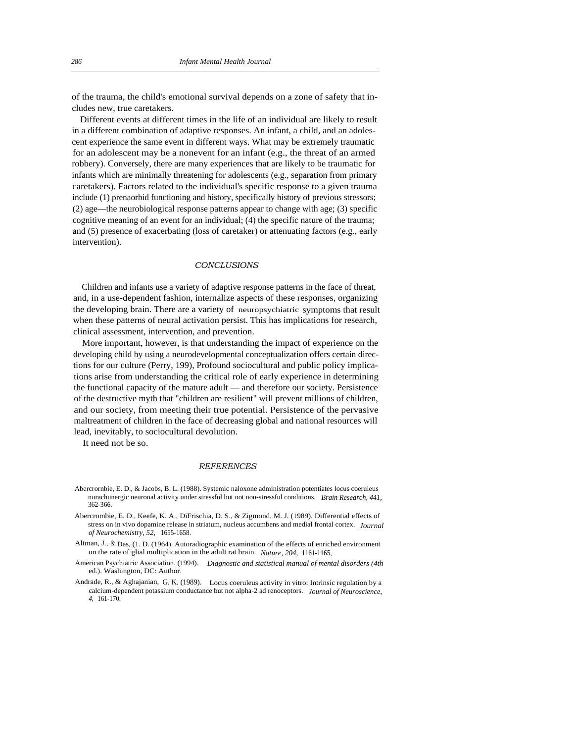of the trauma, the child's emotional survival depends on a zone of safety that includes new, true caretakers.

Different events at different times in the life of an individual are likely to result in a different combination of adaptive responses. An infant, a child, and an adolescent experience the same event in different ways. What may be extremely traumatic for an adolescent may be a nonevent for an infant (e.g., the threat of an armed robbery). Conversely, there are many experiences that are likely to be traumatic for infants which are minimally threatening for adolescents (e.g., separation from primary caretakers). Factors related to the individual's specific response to a given trauma include (1) prenaorbid functioning and history, specifically history of previous stressors; (2) age—the neurobiological response patterns appear to change with age; (3) specific cognitive meaning of an event for an individual; (4) the specific nature of the trauma; and (5) presence of exacerbating (loss of caretaker) or attenuating factors (e.g., early intervention).

## *CONCLUSIONS*

Children and infants use a variety of adaptive response patterns in the face of threat, and, in a use-dependent fashion, internalize aspects of these responses, organizing the developing brain. There are a variety of neuropsychiatric symptoms that result when these patterns of neural activation persist. This has implications for research, clinical assessment, intervention, and prevention.

More important, however, is that understanding the impact of experience on the developing child by using a neurodevelopmental conceptualization offers certain directions for our culture (Perry, 199), Profound sociocultural and public policy implications arise from understanding the critical role of early experience in determining the functional capacity of the mature adult — and therefore our society. Persistence of the destructive myth that "children are resilient" will prevent millions of children, and our society, from meeting their true potential. Persistence of the pervasive maltreatment of children in the face of decreasing global and national resources will lead, inevitably, to sociocultural devolution.

It need not be so.

## *REFERENCES*

- Abercrornbie, E. D., & Jacobs, B. L. (1988). Systemic naloxone administration potentiates locus coeruleus norachunergic neuronal activity under stressful but not non-stressful conditions. *Brain Research, 441,*  362-366.
- Abercrombie, E. D., Keefe, K. A., DiFrischia, D. S., & Zigmond, M. J. (1989). Differential effects of stress on in vivo dopamine release in striatum, nucleus accumbens and medial frontal cortex. *Journal of Neurochemistry, 52,* 1655-1658.
- Altman, J., *&* Das, (1. D. (1964). Autoradiographic examination of the effects of enriched environment on the rate of glial multiplication in the adult rat brain. *Nature, 204,* 1161-1165,
- American Psychiatric Association. (1994). *Diagnostic and statistical manual of mental disorders (4th*  ed.). Washington, DC: Author.
- Andrade, R., & Aghajanian, G. K. (1989). Locus coeruleus activity in vitro: Intrinsic regulation by a calcium-dependent potassium conductance but not alpha-2 ad renoceptors. *Journal of Neuroscience, 4,* 161-170.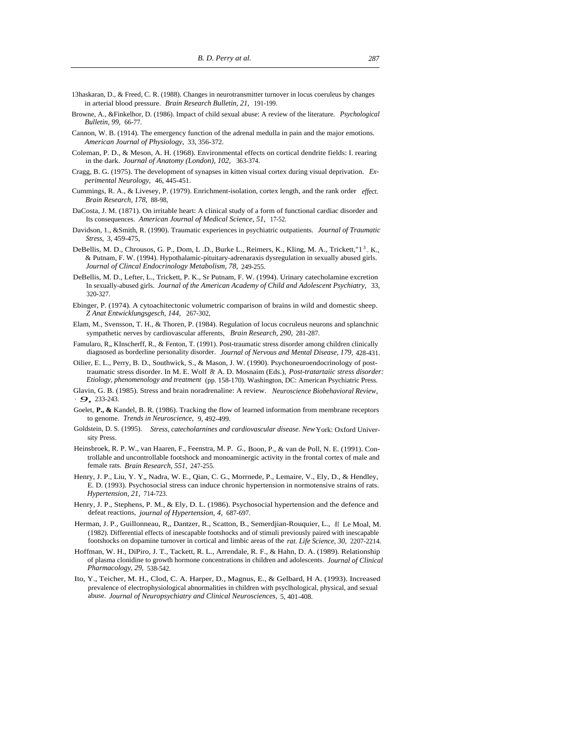- 13haskaran, D., & Freed, C. R. (1988). Changes in neurotransmitter turnover in locus coeruleus by changes in arterial blood pressure. *Brain Research Bulletin, 21,* 191-199.
- Browne, A., &Finkelhor, D. (1986). Impact of child sexual abuse: A review of the literature. *Psychological Bulletin, 99,* 66-77.
- Cannon, W. B. (1914). The emergency function of the adrenal medulla in pain and the major emotions. *American Journal of Physiology,* 33, 356-372.
- Coleman, P. D., & Meson, A. H. (1968). Environmental effects on cortical dendrite fields: I. rearing in the dark. *Journal of Anatomy (London), 102,* 363-374.
- Cragg, B. G. (1975). The development of synapses in kitten visual cortex during visual deprivation. *Experimental Neurology,* 46, 445-451.
- Cummings, R. A., & Livesey, P. (1979). Enrichment-isolation, cortex length, and the rank order *effect. Brain Research, 178,* 88-98,
- DaCosta, J. M. (1871). On irritable heart: A clinical study of a form of functional cardiac disorder and Its consequences. *American Journal of Medical Science, 51,* 17-52.
- Davidson, 1., &Smith, R. (1990). Traumatic experiences in psychiatric outpatients. *Journal of Traumatic Stress,* 3, 459-475,
- DeBellis, M. D., Chrousos, G. P., Dom, L .D., Burke L., Reimers, K., Kling, M. A., Trickett,"1<sup>3</sup> .K., & Putnam, F. W. (1994). Hypothalamic-pituitary-adrenaraxis dysregulation in sexually abused girls. *Journal of Clincal Endocrinology Metabolism, 78,* 249-255.
- DeBellis, M. D., Lefter, L., Trickett, P. K., Sr Putnam, F. W. (1994). Urinary catecholamine excretion In sexually-abused girls. *Journal of the American Academy of Child and Adolescent Psychiatry,* 33, 320-327.
- Ebinger, P. (1974). A cytoachitectonic volumetric comparison of brains in wild and domestic sheep. *Z Anat Entwicklungsgesch, 144,* 267-302,
- Elam, M., Svensson, T. H., & Thoren, P. (1984). Regulation of locus cocruleus neurons and splanchnic sympathetic nerves by cardiovascular afferents, *Brain Research, 290,* 281-287.
- Famularo, R., KInscherff, R., & Fenton, T. (1991). Post-traumatic stress disorder among children clinically diagnosed as borderline personality disorder. *Journal of Nervous and Mental Disease, 179,* 428-431.
- Oilier, E. L., Perry, B. D., Southwick, S., & Mason, J. W. (1990). Psychoneuroendocrinology of posttraumatic stress disorder. In M. E. Wolf *8t* A. D. Mosnaim (Eds.), *Post-tratartaiic stress disorder: Etiology, phenomenology and treatment* (pp. 158-170). Washington, DC: American Psychiatric Press.
- Glavin, G. B. (1985). Stress and brain noradrenaline: A review. *Neuroscience Biobehavioral Review, •9,* 233-243.
- Goelet, P., & Kandel, B. R. (1986). Tracking the flow of learned information from membrane receptors to genome. *Trends in Neuroscience,* 9, 492-499.
- Goldstein, D. S. (1995). *Stress, catecholarnines and cardiovascular disease. New* York: Oxford University Press.
- Heinsbroek, R. P. W., van Haaren, F., Feenstra, M. P. *G.,* Boon, P., & van de Poll, N. E. (1991). Controllable and uncontrollable footshock and monoaminergic activity in the frontal cortex of male and female rats. *Brain Research, 551,* 247-255.
- Henry, J. P., Liu, Y. Y., Nadra, W. E., Qian, C. G., Morrnede, P., Lemaire, V., Ely, D., & Hendley, E. D. (1993). Psychosocial stress can induce chronic hypertension in normotensive strains of rats. *Hypertension, 21,* 714-723.
- Henry, J. P., Stephens, P. M., & Ely, D. L. (1986). Psychosocial hypertension and the defence and defeat reactions, *journal of Hypertension, 4,* 687-697.
- Herman, J. P., Guillonneau, R,, Dantzer, R., Scatton, B., Semerdjian-Rouquier, L., *81* Le Moal, M. (1982). Differential effects of inescapable footshocks and of stimuli previously paired with inescapable footshocks on dopamine turnover in cortical and limbic areas of the *rat. Life Science, 30,* 2207-2214.
- Hoffman, W. H., DiPiro, J. T., Tackett, R. L., Arrendale, R. F., & Hahn, D. A. (1989). Relationship of plasma clonidine to growth hormone concentrations in children and adolescents. *Journal of Clinical Pharmacology, 29,* 538-542.
- Ito, Y., Teicher, M. H., Clod, C. A. Harper, D., Magnus, E., & Gelbard, H A. (1993). Increased prevalence of electrophysiological abnormalities in children with psyclhological, physical, and sexual abuse. *Journal of Neuropsychiatry and Clinical Neurosciences,* 5, 401-408.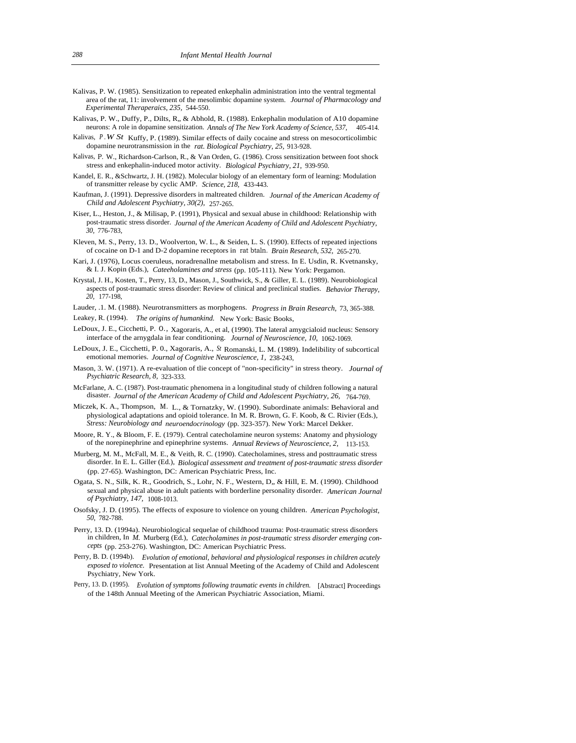- Kalivas, P. W. (1985). Sensitization to repeated enkephalin administration into the ventral tegmental area of the rat, 11: involvement of the mesolimbic dopamine system. *Journal of Pharmacology and Experimental Theraperaics, 235,* 544-550.
- Kalivas, P. W., Duffy, P., Dilts, R., & Abhold, R. (1988). Enkephalin modulation of A10 dopamine neurons: A role in dopamine sensitization. *Annals of The New York Academy of Science, 537,* 405-414.
- Kalivas, *P .W St* Kuffy, P. (1989). Similar effects of daily cocaine and stress on mesocorticolimbic dopamine neurotransmission in the *rat. Biological Psychiatry, 25,* 913-928.
- Kalivas, P. W., Richardson-Carlson, R., & Van Orden, G. (1986). Cross sensitization between foot shock stress and enkephalin-induced motor activity. *Biological Psychiatry, 21,* 939-950.
- Kandel, E. R., &Schwartz, J. H. (1982). Molecular biology of an elementary form of learning: Modulation of transmitter release by cyclic AMP. *Science, 218,* 433-443.
- Kaufman, J. (1991). Depressive disorders in maltreated children. *Journal of the American Academy of Child and Adolescent Psychiatry, 30(2),* 257-265.
- Kiser, L., Heston, J., & Milisap, P. (1991), Physical and sexual abuse in childhood: Relationship with post-traumatic stress disorder. *Journal of the American Academy of Child and Adolescent Psychiatry, 30,* 776-783,
- Kleven, M. S., Perry, 13. D., Woolverton, W. L., & Seiden, L. S. (1990). Effects of repeated injections of cocaine on D-1 and D-2 dopamine receptors in rat btaln. *Brain Research, 532,* 265-270.
- Kari, J. (1976), Locus coeruleus, noradrenallne metabolism and stress. In E. Usdin, R. Kvetnansky, & I. J. Kopin (Eds.), *Cateeholamines and stress* (pp. 105-111). New York: Pergamon.
- Krystal, J. H., Kosten, T., Perry, 13, D., Mason, J., Southwick, S., & Giller, E. L. (1989). Neurobiological aspects of post-traumatic stress disorder: Review of clinical and preclinical studies. *Behavior Therapy, 20,* 177-198,
- Lauder, .1. M. (1988). Neurotransmitters as morphogens. *Progress in Brain Research,* 73, 365-388. Leakey, R. (1994). *The origins of humankind.* New York: Basic Books,
- LeDoux, J. E., Cicchetti, P. 0., Xagoraris, A., et al, (1990). The lateral amygcialoid nucleus: Sensory interface of the arnygdala in fear conditioning. *Journal of Neuroscience, 10,* 1062-1069.
- LeDoux, J. E., Cicchetti, P. 0., Xagoraris, A., *St* Romanski, L. M. (1989). Indelibility of subcortical emotional memories. *Journal of Cognitive Neuroscience, 1,* 238-243,
- Mason, 3. W. (1971). A re-evaluation of tlie concept of "non-specificity" in stress theory. *Journal of Psychiatric Research, 8,* 323-333.
- McFarlane, A. C. (1987). Post-traumatic phenomena in a longitudinal study of children following a natural disaster. *Journal of the American Academy of Child and Adolescent Psychiatry, 26, 764-769.*
- Miczek, K. A., Thompson, M. L., & Tornatzky, W. (1990). Subordinate animals: Behavioral and physiological adaptations and opioid tolerance. In M. R. Brown, G. F. Koob, & C. Rivier (Eds.), *Stress: Neurobiology and neuroendocrinology* (pp. 323-357). New York: Marcel Dekker.
- Moore, R. Y., & Bloom, F. E. (1979). Central catecholamine neuron systems: Anatomy and physiology of the norepinephrine and epinephrine systems. *Annual Reviews of Neuroscience, 2,* 113-153.
- Murberg, M. M., McFall, M. E., & Veith, R. C. (1990). Catecholamines, stress and posttraumatic stress disorder. In E. L. Giller (Ed.), *Biological assessment and treatment of post-traumatic stress disorder*  (pp. 27-65). Washington, DC: American Psychiatric Press, Inc.
- Ogata, S. N., Silk, K. R., Goodrich, S., Lohr, N. F., Western, D., & Hill, E. M. (1990). Childhood sexual and physical abuse in adult patients with borderline personality disorder. *American Journal of Psychiatry, 147,* 1008-1013.
- Osofsky, J. D. (1995). The effects of exposure to violence on young children. *American Psychologist, 50,* 782-788.
- Perry, 13. D. (1994a). Neurobiological sequelae of childhood trauma: Post-traumatic stress disorders in children, In *M.* Murberg (Ed.), *Catecholamines in post-traumatic stress disorder emerging concepts* (pp. 253-276). Washington, DC: American Psychiatric Press.
- Perry, B. D. (1994b). *Evolution of emotional, behavioral and physiological responses in children acutely exposed to violence.* Presentation at list Annual Meeting of the Academy of Child and Adolescent Psychiatry, New York.
- Perry, 13. D. (1995). *Evolution of symptoms following traumatic events in children.* [Abstract] Proceedings of the 148th Annual Meeting of the American Psychiatric Association, Miami.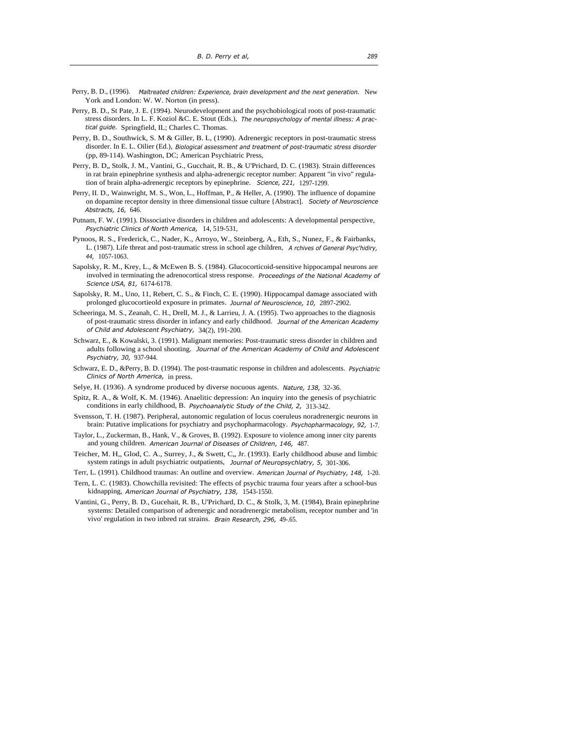- Perry, B. D., (1996). *Maltreated children: Experience, brain development and the next generation.* New York and London: W. W. Norton (in press).
- Perry, B. D., St Pate, J. E. (1994). Neurodevelopment and the psychobiological roots of post-traumatic stress disorders. In L. F. Koziol &C. E. Stout (Eds.), *The neuropsychology of mental illness: A practical guide.* Springfield, IL; Charles C. Thomas.
- Perry, B. D., Southwick, S. M & Giller, B. L, (1990). Adrenergic receptors in post-traumatic stress disorder. In E. L. Oilier (Ed.), *Biological assessment and treatment of post-traumatic stress disorder*  (pp, 89-114). Washington, DC; American Psychiatric Press,
- Perry, B. D., Stolk, J. M., Vantini, G., Gucchait, R. B., & U'Prichard, D. C. (1983). Strain differences in rat brain epinephrine synthesis and alpha-adrenergic receptor number: Apparent "in vivo" regulation of brain alpha-adrenergic receptors by epinephrine. *Science, 221,* 1297-1299.
- Perry, II. D., Wainwright, M. S., Won, L., Hoffman, P., & Heller, A. (1990). The influence of dopamine on dopamine receptor density in three dimensional tissue culture {Abstract]. *Society of Neuroscience Abstracts, 16,* 646.
- Putnam, F. W. (1991). Dissociative disorders in children and adolescents: A developmental perspective, *Psychiatric Clinics of North America,* 14, 519-531,
- Pynoos, R. S., Frederick, C., Nader, K., Arroyo, W., Steinberg, A., Eth, S., Nunez, F., & Fairbanks, L. (1987). Life threat and post-traumatic stress in school age children, *A rchives of General Psyc'hidiry, 44,* 1057-1063.
- Sapolsky, R. M., Krey, L., & McEwen B. S. (1984). Glucocorticoid-sensitive hippocampal neurons are involved in terminating the adrenocortical stress response. *Proceedings of the National Academy of Science USA, 81,* 6174-6178.
- Sapolsky, R. M., Uno, 11, Rebert, C. S., & Finch, C. E. (1990). Hippocampal damage associated with prolonged glucocortieold exposure in primates. *Journal of Neuroscience, 10,* 2897-2902.
- Scheeringa, M. S., Zeanah, C. H., Drell, M. J., & Larrieu, J. A. (1995). Two approaches to the diagnosis of post-traumatic stress disorder in infancy and early childhood. *Journal of the American Academy of Child and Adolescent Psychiatry,* 34(2), 191-200.
- Schwarz, E., & Kowalski, 3. (1991). Malignant memories: Post-traumatic stress disorder in children and adults following a school shooting. *Journal of the American Academy of Child and Adolescent Psychiatry, 30,* 937-944.
- Schwarz, E. D., &Perry, B. D. (1994). The post-traumatic response in children and adolescents. *Psychiatric Clinics of North America,* in press.
- Selye, H. (1936). A syndrome produced by diverse nocuous agents. *Nature, 138,* 32-36.
- Spitz, R. A., & Wolf, K. M. (1946). Anaelitic depression: An inquiry into the genesis of psychiatric conditions in early childhood, B. *Psychoanalytic Study of the Child, 2,* 313-342.
- Svensson, T. H. (1987). Peripheral, autonomic regulation of locus coeruleus noradrenergic neurons in brain: Putative implications for psychiatry and psychopharmacology. *Psychopharmacology, 92,* 1-7.
- Taylor, L., Zuckerman, B., Hank, V., & Groves, B. (1992). Exposure to violence among inner city parents and young children. *American Journal of Diseases of Children, 146,* 487.
- Teicher, M. H,, Glod, C. A., Surrey, J., & Swett, C,, Jr. (1993). Early childhood abuse and limbic system ratings in adult psychiatric outpatients, *Journal of Neuropsychlatry, 5,* 301-306.
- Terr, L. (1991). Childhood traumas: An outline and overview. *American Journal of Psychiatry, 148,* 1-20.
- Tern, L. C. (1983). Chowchilla revisited: The effects of psychic trauma four years after a school-bus kidnapping, *American Journal of Psychiatry, 138,* 1543-1550.
- Vantini, G., Perry, B. D., Gucehait, R. B., U'Prichard, D. C., & Stolk, 3, M. (1984), Brain epinephrine systems: Detailed comparison of adrenergic and noradrenergic metabolism, receptor number and 'in vivo' regulation in two inbred rat strains. *Brain Research, 296,* 49-.65.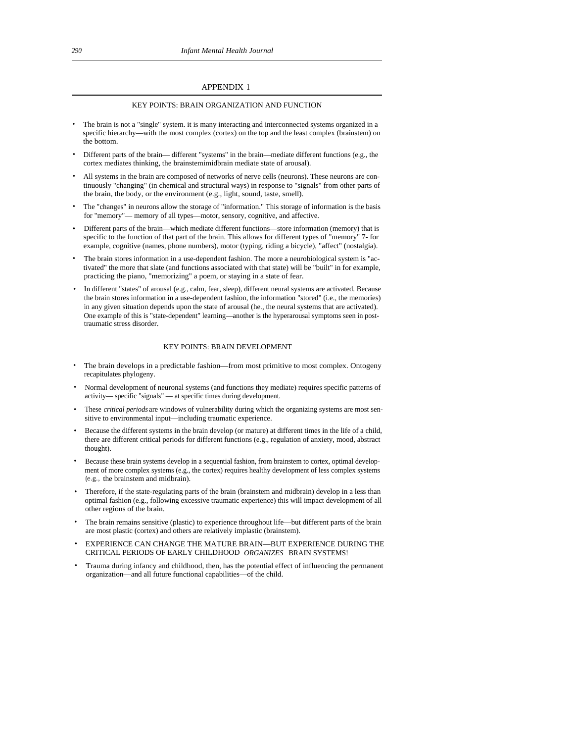# APPENDIX 1

#### KEY POINTS: BRAIN ORGANIZATION AND FUNCTION

- The brain is not a "single" system. it is many interacting and interconnected systems organized in a specific hierarchy—with the most complex (cortex) on the top and the least complex (brainstem) on the bottom.
- Different parts of the brain— different "systems" in the brain—mediate different functions (e.g., the cortex mediates thinking, the brainstemimidbrain mediate state of arousal).
- All systems in the brain are composed of networks of nerve cells (neurons). These neurons are continuously "changing" (in chemical and structural ways) in response to "signals" from other parts of the brain, the body, or the environment (e.g., light, sound, taste, smell).
- The "changes" in neurons allow the storage of "information." This storage of information is the basis for "memory"— memory of all types—motor, sensory, cognitive, and affective.
- Different parts of the brain—which mediate different functions—store information (memory) that is specific to the function of that part of the brain. This allows for different types of "memory" 7- for example, cognitive (names, phone numbers), motor (typing, riding a bicycle), "affect" (nostalgia).
- The brain stores information in a use-dependent fashion. The more a neurobiological system is "activated" the more that slate (and functions associated with that state) will be "built" in for example, practicing the piano, "memorizing" a poem, or staying in a state of fear.
- In different "states" of arousal (e.g., calm, fear, sleep), different neural systems are activated. Because the brain stores information in a use-dependent fashion, the information "stored" (i.e., the memories) in any given situation depends upon the state of arousal (he., the neural systems that are activated). One example of this is "state-dependent" learning—another is the hyperarousal symptoms seen in posttraumatic stress disorder.

#### KEY POINTS: BRAIN DEVELOPMENT

- The brain develops in a predictable fashion—from most primitive to most complex. Ontogeny recapitulates phylogeny.
- Normal development of neuronal systems (and functions they mediate) requires specific patterns of activity— specific "signals" — at specific times during development.
- These *critical periods* are windows of vulnerability during which the organizing systems are most sensitive to environmental input—including traumatic experience.
- Because the different systems in the brain develop (or mature) at different times in the life of a child, there are different critical periods for different functions (e.g., regulation of anxiety, mood, abstract thought).
- Because these brain systems develop in a sequential fashion, from brainstem to cortex, optimal development of more complex systems (e.g., the cortex) requires healthy development of less complex systems (e.g., the brainstem and midbrain).
- Therefore, if the state-regulating parts of the brain (brainstem and midbrain) develop in a less than optimal fashion (e.g., following excessive traumatic experience) this will impact development of all other regions of the brain.
- The brain remains sensitive (plastic) to experience throughout life—but different parts of the brain are most plastic (cortex) and others are relatively implastic (brainstem).
- EXPERIENCE CAN CHANGE THE MATURE BRAIN—BUT EXPERIENCE DURING THE CRITICAL PERIODS OF EARLY CHILDHOOD *ORGANIZES* BRAIN SYSTEMS!
- Trauma during infancy and childhood, then, has the potential effect of influencing the permanent organization—and all future functional capabilities—of the child.